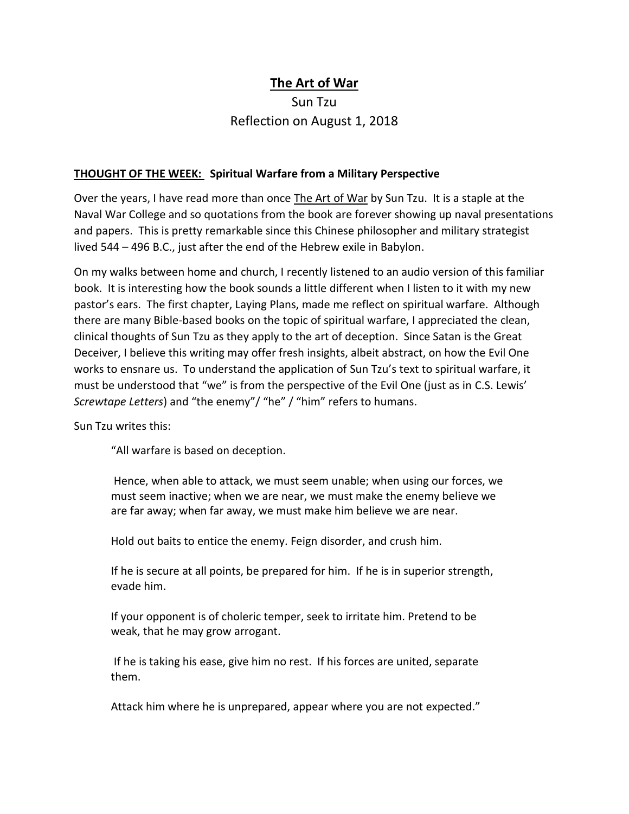## **The Art of War**

## Sun Tzu Reflection on August 1, 2018

## **THOUGHT OF THE WEEK: Spiritual Warfare from a Military Perspective**

Over the years, I have read more than once The Art of War by Sun Tzu. It is a staple at the Naval War College and so quotations from the book are forever showing up naval presentations and papers. This is pretty remarkable since this Chinese philosopher and military strategist lived 544 – 496 B.C., just after the end of the Hebrew exile in Babylon.

On my walks between home and church, I recently listened to an audio version of this familiar book. It is interesting how the book sounds a little different when I listen to it with my new pastor's ears. The first chapter, Laying Plans, made me reflect on spiritual warfare. Although there are many Bible-based books on the topic of spiritual warfare, I appreciated the clean, clinical thoughts of Sun Tzu as they apply to the art of deception. Since Satan is the Great Deceiver, I believe this writing may offer fresh insights, albeit abstract, on how the Evil One works to ensnare us. To understand the application of Sun Tzu's text to spiritual warfare, it must be understood that "we" is from the perspective of the Evil One (just as in C.S. Lewis' *Screwtape Letters*) and "the enemy"/ "he" / "him" refers to humans.

Sun Tzu writes this:

"All warfare is based on deception.

Hence, when able to attack, we must seem unable; when using our forces, we must seem inactive; when we are near, we must make the enemy believe we are far away; when far away, we must make him believe we are near.

Hold out baits to entice the enemy. Feign disorder, and crush him.

If he is secure at all points, be prepared for him. If he is in superior strength, evade him.

If your opponent is of choleric temper, seek to irritate him. Pretend to be weak, that he may grow arrogant.

If he is taking his ease, give him no rest. If his forces are united, separate them.

Attack him where he is unprepared, appear where you are not expected."